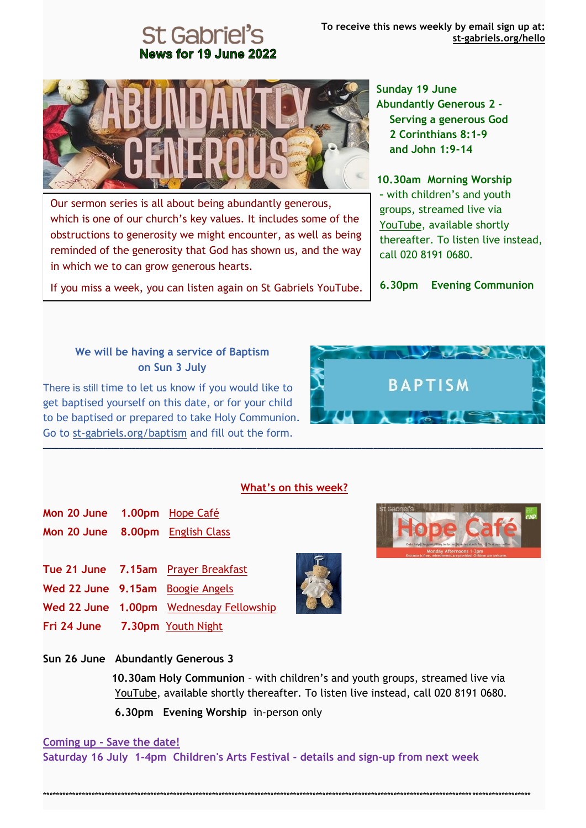# News for 19 June 2022



Our sermon series is all about being abundantly generous, which is one of our church's key values. It includes some of the obstructions to generosity we might encounter, as well as being reminded of the generosity that God has shown us, and the way in which we to can grow generous hearts.

If you miss a week, you can listen again on St Gabriels YouTube.

**Sunday 19 June Abundantly Generous 2 - Serving a generous God 2 Corinthians 8:1-9 and John 1:9-14**

**10.30am Morning Worship –** with children's and youth groups, streamed live via [YouTube,](https://st-gabriels.us19.list-manage.com/track/click?u=8be6c1f9211f8d2b867be0c19&id=0ad6262c78&e=8fbea94df1) available shortly thereafter. To listen live instead, call 020 8191 0680.

**6.30pm Evening Communion** 

**Contract Contract Property** 

**BAPTISM** 

 $\sim$   $\sim$   $\sim$   $\sim$   $\sim$ 

#### **We will be having a service of Baptism on Sun 3 July**

There is still time to let us know if you would like to get baptised yourself on this date, or for your child to be baptised or prepared to take Holy Communion. Go to [st-gabriels.org/baptism](https://st-gabriels.us19.list-manage.com/track/click?u=8be6c1f9211f8d2b867be0c19&id=3ab30f1a22&e=8fbea94df1) and fill out the form.

#### **What's on this week?**

**\_\_\_\_\_\_\_\_\_\_\_\_\_\_\_\_\_\_\_\_\_\_\_\_\_\_\_\_\_\_\_\_\_\_\_\_\_\_\_\_\_\_\_\_\_\_\_\_\_\_\_\_\_\_\_\_\_\_\_\_\_\_\_\_\_\_\_\_\_\_\_\_\_\_\_\_\_\_\_\_\_\_\_\_\_\_\_\_\_\_\_\_\_\_\_\_\_\_\_\_\_\_\_\_\_\_\_\_\_\_\_\_\_\_\_\_\_\_\_\_\_\_\_\_**

- **Mon 20 June 1.00pm** [Hope Café](https://st-gabriels.us19.list-manage.com/track/click?u=8be6c1f9211f8d2b867be0c19&id=a980678df5&e=8fbea94df1) **Mon 20 June 8.00pm** [English Class](https://st-gabriels.us19.list-manage.com/track/click?u=8be6c1f9211f8d2b867be0c19&id=385433b744&e=8fbea94df1)
- **Tue 21 June 7.15am** [Prayer Breakfast](https://st-gabriels.us19.list-manage.com/track/click?u=8be6c1f9211f8d2b867be0c19&id=194d7b8b26&e=8fbea94df1)
- **Wed 22 June 9.15am** [Boogie Angels](https://st-gabriels.us19.list-manage.com/track/click?u=8be6c1f9211f8d2b867be0c19&id=a3e8268e46&e=8fbea94df1)
- **Wed 22 June 1.00pm** [Wednesday Fellowship](https://st-gabriels.us19.list-manage.com/track/click?u=8be6c1f9211f8d2b867be0c19&id=484d802f68&e=8fbea94df1)
- **Fri 24 June 7.30pm** [Youth Night](https://st-gabriels.us19.list-manage.com/track/click?u=8be6c1f9211f8d2b867be0c19&id=3b8ae6b250&e=8fbea94df1)
- **Sun 26 June Abundantly Generous 3**

 **10.30am Holy Communion** – with children's and youth groups, streamed live via [YouTube,](https://st-gabriels.us19.list-manage.com/track/click?u=8be6c1f9211f8d2b867be0c19&id=0ad6262c78&e=8fbea94df1) available shortly thereafter. To listen live instead, call 020 8191 0680.  **6.30pm Evening Worship** in-person only

#### **Coming up - Save the date!**

**Saturday 16 July 1-4pm Children's Arts Festival - details and sign-up from next week**





\*\*\*\*\*\*\*\*\*\*\*\*\*\*\*\*\*\*\*\*\*\*\*\*\*\*\*\*\*\*\*\*\*\*\*\*\*\*\*\*\*\*\*\*\*\*\*\*\*\*\*\*\*\*\*\*\*\*\*\*\*\*\*\*\*\*\*\*\*\*\*\*\*\*\*\*\*\*\*\*\*\*\*\*\*\*\*\*\*\*\*\*\*\*\*\*\*\*\*\*\*\*\*\*\*\*\*\*\*\*\*\*\*\*\*\*\*\*\*\*\*\*\*\*\*\*\*\*\*\*\*\*\*\*\*\*\*\*\*\*\*\*\*\*\*\*\*\*\*\*